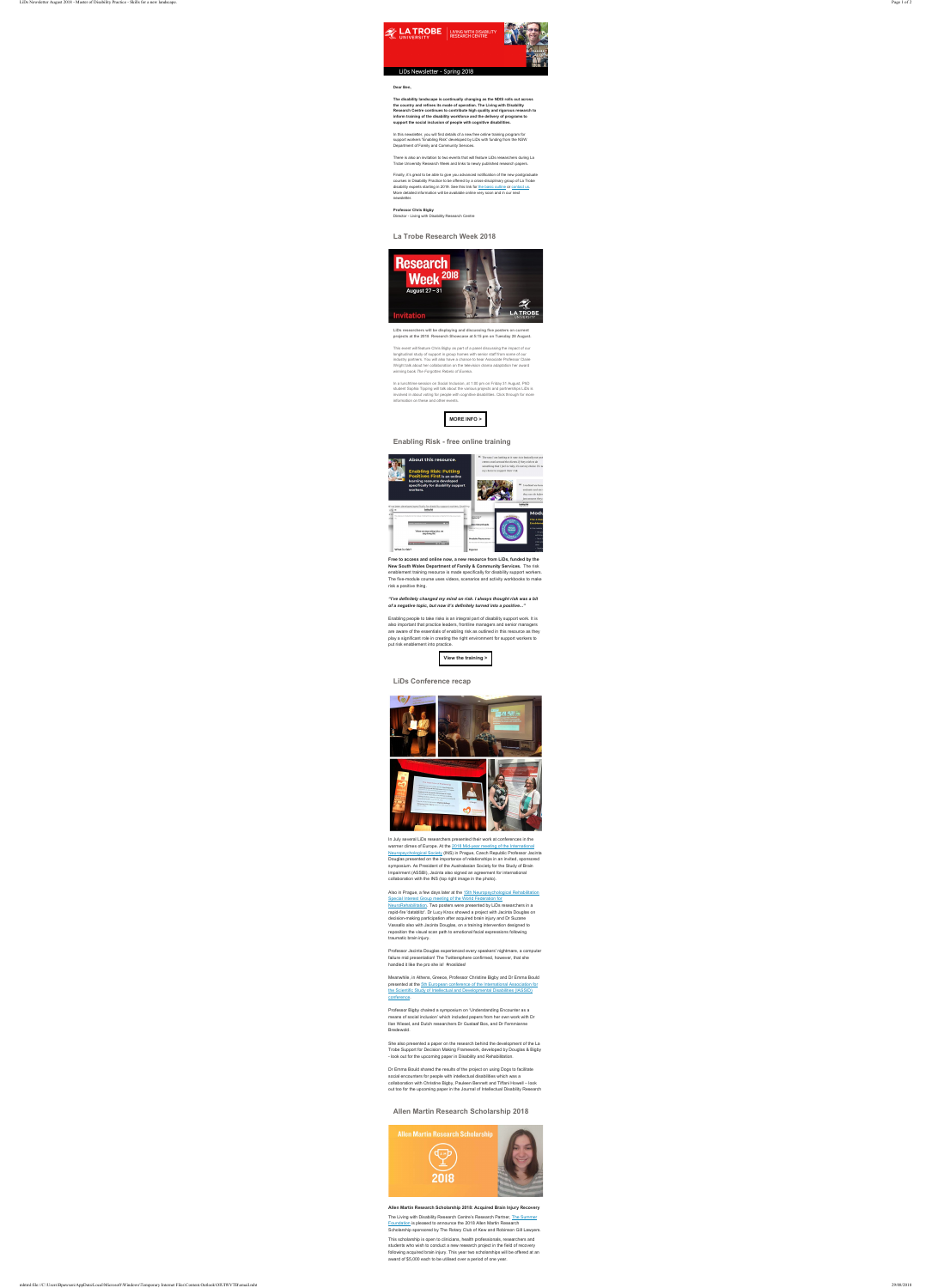

LIVING WITH DISABILITY **RESEARCH CENTRE** 



### LiDs Newsletter - Spring 2018

**Dear Ben,**

**The disability landscape is continually changing as the NDIS rolls out across the country and refines its mode of operation. The Living with Disability Research Centre continues to contribute high quality and rigorous research to inform training of the disability workforce and the delivery of programs to support the social inclusion of people with cognitive disabilities.**

In this newsletter, you will find details of a new free online training program for support workers "Enabling Risk" developed by LiDs with funding from the NSW Department of Family and Community Services.

There is also an invitation to two events that will feature LiDs researchers during La Trobe University Research Week and links to newly published research papers.

Finally, it's great to be able to give you advanced notification of the new postgraduate courses in Disability Practice to be offered by a cross-disciplinary group of La Trobe disability experts starting in 2019. See this link for the basic outline or contact us. More detailed information will be available online very soon and in our next newsletter.

#### **Professor Chris Bigby**

Director - Living with Disability Research Centre

## **La Trobe Research Week 2018**



**LiDs researchers will be displaying and discussing five posters on current projects at the 2018 Research Showcase at 5:15 pm on Tuesday 28 August.**

This event will feature Chris Bigby as part of a panel discussing the impact of our longitudinal study of support in group homes with senior staff from some of our industry partners. You will also have a chance to hear Associate Professor Claire Wright talk about her collaboration on the television drama adaptation her award winning book *The Forgotten Rebels of Eureka.*

In a lunchtime session on Social Inclusion, at 1:00 pm on Friday 31 August, PhD student Sophia Tipping will talk about the various projects and partnerships LiDs is involved in about voting for people with cognitive disabilities. Click through for more information on these and other events.

# **Enabling Risk - free online training**



**Free to access and online now, a new resource from LiDs, funded by the New South Wales Department of Family & Community Services.** The risk enablement training resource is made specifically for disability support workers. The five-module course uses videos, scenarios and activity workbooks to make risk a positive thing.

#### *"I've definitely changed my mind on risk. I always thought risk was a bit of a negative topic, but now it's definitely turned into a positive..."*

Enabling people to take risks is an integral part of disability support work. It is also important that practice leaders, frontline managers and senior managers are aware of the essentials of enabling risk as outlined in this resource as they play a significant role in creating the right environment for support workers to put risk enablement into practice.

The Living with Disability Research Centre's Research Partner, The Summer Foundation is pleased to announce the 2018 Allen Martin Research Scholarship sponsored by The Rotary Club of Kew and Robinson Gill Lawyers.

### **LiDs Conference recap**



In July several LiDs researchers presented their work at conferences in the warmer climes of Europe. At the 2018 Mid-year meeting of the International Neuropsychological Society (INS) in Prague, Czech Republic Professor Jacinta Douglas presented on the importance of relationships in an invited, sponsored symposium. As President of the Australasian Society for the Study of Brain Impairment (ASSBI), Jacinta also signed an agreement for international collaboration with the INS (top right image in the photo).

Also in Prague, a few days later at the 15th Neuropsychological Rehabilitation Special Interest Group meeting of the World Federation for NeuroRehabilitation. Two posters were presented by LiDs researchers in a rapid-fire 'datablitz'. Dr Lucy Knox showed a project with Jacinta Douglas on decision-making participation after acquired brain injury and Dr Suzane Vassallo also with Jacinta Douglas, on a training intervention designed to reposition the visual scan path to emotional facial expressions following traumatic brain injury.

Professor Jacinta Douglas experienced every speakers' nightmare, a computer failure mid presentation! The Twittersphere confirmed, however, that she handled it like the pro she is! #noslides!

Meanwhile, in Athens, Greece, Professor Christine Bigby and Dr Emma Bould presented at the 5th European conference of the International Association for the Scientific Study of Intellectual and Developmental Disabilities (IASSID) conference.

Professor Bigby chaired a symposium on 'Understanding Encounter as a means of social inclusion' which included papers from her own work with Dr Ilan Wiesel, and Dutch researchers Dr Gustaaf Bos, and Dr Femmianne Bredewold.

She also presented a paper on the research behind the development of the La Trobe Support for Decision Making Framework, developed by Douglas & Bigby - look out for the upcoming paper in Disability and Rehabilitation.

Dr Emma Bould shared the results of the project on using Dogs to facilitate social encounters for people with intellectual disabilities which was a collaboration with Christine Bigby, Pauleen Bennett and Tiffani Howell – look out too for the upcoming paper in the Journal of Intellectual Disability Research

## **Allen Martin Research Scholarship 2018**



#### **Allen Martin Research Scholarship 2018: Acquired Brain Injury Recovery**

This scholarship is open to clinicians, health professionals, researchers and students who wish to conduct a new research project in the field of recovery following acquired brain injury. This year two scholarships will be offered at an award of \$5,000 each to be utilised over a period of one year.

**MORE INFO >**